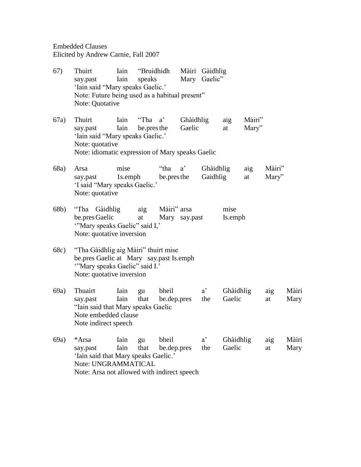Embedded Clauses Elicited by Andrew Carnie, Fall 2007

- 67) Thuirt Iain "Bruidhidh Màiri Gàidhlig say.past Iain speaks Mary Gaelic" 'Iain said "Mary speaks Gaelic.' Note: Future being used as a habitual present" Note: Quotative
- 67a) Thuirt Iain "Tha a' Ghàidhlig aig Màiri" say.past Iain be.pres the Gaelic at Mary" 'Iain said "Mary speaks Gaelic.' Note: quotative Note: idiomatic expression of Mary speaks Gaelic
- 68a) Arsa mise "tha a' Ghàidhlig aig Màiri" say.past 1s.emph be.presthe Gaidhlig at Mary" 'I said "Mary speaks Gaelic.' Note: quotative
- 68b) "Tha Gàidhlig aig Màiri" arsa mise be.presGaelic at Mary say.past Is.emph '"Mary speaks Gaelic" said I,' Note: quotative inversion
- 68c) "Tha Gàidhlig aig Màiri" thuirt mise be.pres Gaelic at Mary say.past Is.emph '"Mary speaks Gaelic" said I.' Note: quotative inversion
- 69a) Thuairt Iain gu bheil a' Ghàidhlig aig Màiri say.past Iain that be.dep.pres the Gaelic at Mary "Iain said that Mary speaks Gaelic Note embedded clause Note indirect speech

69a) \*Arsa Iain gu bheil a' Ghàidhlig aig Màiri say.past Iain that be.dep.pres the Gaelic at Mary 'Iain said that Mary speaks Gaelic.' Note: UNGRAMMATICAL Note: Arsa not allowed with indirect speech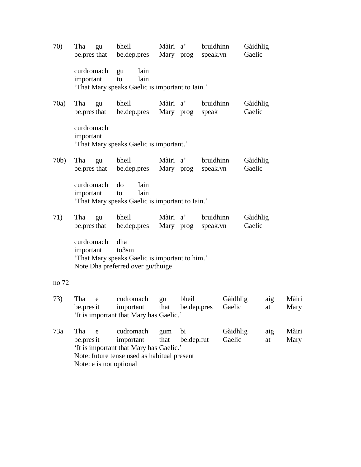- 70) Tha gu bheil Màiri a' bruidhinn Gàidhlig be.pres that be.dep.pres Mary prog speak.vn Gaelic curdromach gu Iain important to Iain 'That Mary speaks Gaelic is important to Iain.' 70a) Tha gu bheil Màiri a' bruidhinn Gàidhlig be.presthat be.dep.pres Mary prog speak Gaelic curdromach important 'That Mary speaks Gaelic is important.' 70b) Tha gu bheil Màiri a' bruidhinn Gàidhlig be.pres that be.dep.pres Mary prog speak.vn Gaelic curdromach do Iain important to Iain 'That Mary speaks Gaelic is important to Iain.' 71) Tha gu bheil Màiri a' bruidhinn Gàidhlig be.presthat be.dep.pres Mary prog speak.vn Gaelic curdromach dha important to3sm 'That Mary speaks Gaelic is important to him.' Note Dha preferred over gu/thuige no 72
- 73) Tha e cudromach gu bheil Gàidhlig aig Màiri be.presit important that be.dep.pres Gaelic at Mary 'It is important that Mary has Gaelic.' 73a Tha e cudromach gum bi Gàidhlig aig Màiri be.presit important that be.dep.fut Gaelic at Mary 'It is important that Mary has Gaelic.' Note: future tense used as habitual present Note: e is not optional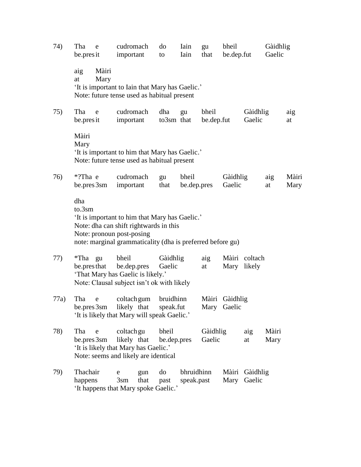| 74)  | Tha<br>e<br>be.presit           | cudromach<br>important                                                                                                                                                              | do<br>to             | Iain<br>Iain             | gu<br>that          | bheil<br>be.dep.fut           |                    | Gàidhlig<br>Gaelic |               |
|------|---------------------------------|-------------------------------------------------------------------------------------------------------------------------------------------------------------------------------------|----------------------|--------------------------|---------------------|-------------------------------|--------------------|--------------------|---------------|
|      | Màiri<br>aig<br>Mary<br>at      | 'It is important to Iain that Mary has Gaelic.'<br>Note: future tense used as habitual present                                                                                      |                      |                          |                     |                               |                    |                    |               |
| 75)  | Tha<br>e<br>be.presit           | cudromach<br>important                                                                                                                                                              | dha<br>to3sm that    | gu                       | bheil<br>be.dep.fut |                               | Gàidhlig<br>Gaelic |                    | aig<br>at     |
|      | Màiri<br>Mary                   | 'It is important to him that Mary has Gaelic.'<br>Note: future tense used as habitual present                                                                                       |                      |                          |                     |                               |                    |                    |               |
| 76)  | $*$ ?Tha e<br>be.pres 3sm       | cudromach<br>important                                                                                                                                                              | gu<br>that           | bheil<br>be.dep.pres     |                     | Gàidhlig<br>Gaelic            |                    | aig<br>at          | Màiri<br>Mary |
|      | dha<br>to.3sm                   | 'It is important to him that Mary has Gaelic.'<br>Note: dha can shift rightwards in this<br>Note: pronoun post-posing<br>note: marginal grammaticality (dha is preferred before gu) |                      |                          |                     |                               |                    |                    |               |
| 77)  | *Tha gu<br>be.pres that         | bheil<br>be.dep.pres<br>'That Mary has Gaelic is likely.'<br>Note: Clausal subject isn't ok with likely                                                                             |                      | Gàidhlig<br>Gaelic       |                     | Màiri coltach<br>Mary likely  |                    |                    |               |
| 77a) | Tha<br>${\rm e}$                | coltach gum<br>be.pres 3sm likely that speak.fut<br>'It is likely that Mary will speak Gaelic.'                                                                                     |                      | bruidhinn                |                     | Màiri Gàidhlig<br>Mary Gaelic |                    |                    |               |
| 78)  | Tha<br>${\rm e}$<br>be.pres 3sm | coltach gu<br>likely that<br>'It is likely that Mary has Gaelic.'<br>Note: seems and likely are identical                                                                           | bheil<br>be.dep.pres |                          | Gàidhlig<br>Gaelic  |                               | aig<br>at          | Màiri<br>Mary      |               |
| 79)  | Thachair<br>happens             | gun<br>e<br>that<br>$3\text{sm}$<br>'It happens that Mary spoke Gaelic.'                                                                                                            | do<br>past           | bhruidhinn<br>speak.past |                     | Màiri<br>Mary                 | Gàidhlig<br>Gaelic |                    |               |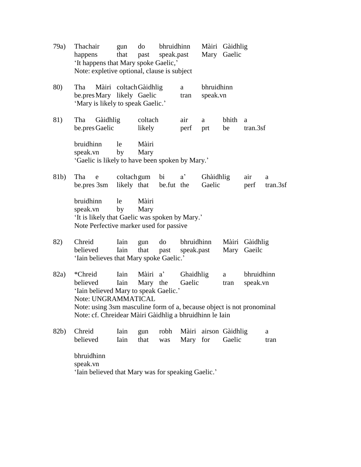| 79a) | Thachair<br>happens                                                                                                                                                                                                                                                                                                           | gun<br>that<br>'It happens that Mary spoke Gaelic,'<br>Note: expletive optional, clause is subject    | do<br>past    | bhruidhinn<br>speak.past |                          | Mary                    | Màiri Gàidhlig<br>Gaelic  |                    |               |
|------|-------------------------------------------------------------------------------------------------------------------------------------------------------------------------------------------------------------------------------------------------------------------------------------------------------------------------------|-------------------------------------------------------------------------------------------------------|---------------|--------------------------|--------------------------|-------------------------|---------------------------|--------------------|---------------|
| 80)  | Tha                                                                                                                                                                                                                                                                                                                           | Màiri coltach Gàidhlig<br>be.pres Mary likely Gaelic<br>'Mary is likely to speak Gaelic.'             |               |                          | a<br>tran                | bhruidhinn<br>speak.vn  |                           |                    |               |
| 81)  | Tha<br>be.pres Gaelic                                                                                                                                                                                                                                                                                                         | Gàidhlig                                                                                              |               | coltach<br>likely        |                          | bhith<br>a<br>be<br>prt |                           | a<br>tran.3sf      |               |
|      | bruidhinn<br>speak.vn                                                                                                                                                                                                                                                                                                         | le<br>by<br>'Gaelic is likely to have been spoken by Mary.'                                           | Màiri<br>Mary |                          |                          |                         |                           |                    |               |
| 81b) | Tha<br>e                                                                                                                                                                                                                                                                                                                      | coltach gum<br>be.pres 3sm likely that be.fut the                                                     |               | bi                       | $a^{\prime}$             | Ghàidhlig<br>Gaelic     |                           | air<br>perf        | a<br>tran.3sf |
|      | bruidhinn<br>speak.vn                                                                                                                                                                                                                                                                                                         | le<br>by<br>'It is likely that Gaelic was spoken by Mary.'<br>Note Perfective marker used for passive | Màiri<br>Mary |                          |                          |                         |                           |                    |               |
| 82)  | Chreid<br>believed                                                                                                                                                                                                                                                                                                            | Iain<br>Iain<br>'Iain believes that Mary spoke Gaelic.'                                               | gun<br>that   | do<br>past               | bhruidhinn<br>speak.past |                         | Màiri<br>Mary             | Gàidhlig<br>Gaeilc |               |
| 82a) | *Chreid<br>Iain<br>Màiri a'<br>Ghaidhlig<br>bhruidhinn<br>a<br>believed<br>Iain<br>Mary the<br>Gaelic<br>speak.vn<br>tran<br>'Iain believed Mary to speak Gaelic.'<br>Note: UNGRAMMATICAL<br>Note: using 3sm masculine form of a, because object is not pronominal<br>Note: cf. Chreidear Màiri Gàidhlig a bhruidhinn le Iain |                                                                                                       |               |                          |                          |                         |                           |                    |               |
| 82b) | Chreid<br>believed                                                                                                                                                                                                                                                                                                            | Iain<br>Iain                                                                                          | gun<br>that   | robh<br>was              | Màiri<br>Mary            | for                     | airson Gàidhlig<br>Gaelic |                    | a<br>tran     |
|      | bhruidhinn<br>speak.vn                                                                                                                                                                                                                                                                                                        | 'Iain believed that Mary was for speaking Gaelic.'                                                    |               |                          |                          |                         |                           |                    |               |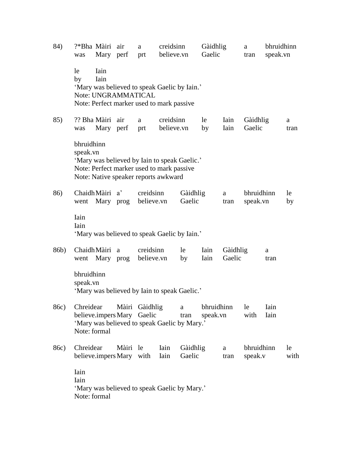| 84)  | was                                                                                                                                                         | ?*Bha Màiri<br>creidsinn<br>Gàidhlig<br>air<br>a<br>believe.vn<br>Gaelic<br>Mary perf<br>prt |           |                                                                                                                  | bhruidhinn<br>a<br>speak.vn<br>tran          |                    |                                                           |                    |                        |              |            |
|------|-------------------------------------------------------------------------------------------------------------------------------------------------------------|----------------------------------------------------------------------------------------------|-----------|------------------------------------------------------------------------------------------------------------------|----------------------------------------------|--------------------|-----------------------------------------------------------|--------------------|------------------------|--------------|------------|
|      | le<br>by                                                                                                                                                    | Iain<br>Iain                                                                                 |           | 'Mary was believed to speak Gaelic by Iain.'<br>Note: UNGRAMMATICAL<br>Note: Perfect marker used to mark passive |                                              |                    |                                                           |                    |                        |              |            |
| 85)  | was                                                                                                                                                         | ?? Bha Màiri air                                                                             | Mary perf | a<br>prt                                                                                                         | creidsinn<br>believe.vn                      |                    | le<br>by                                                  | Iain<br>Iain       | Gàidhlig<br>Gaelic     |              | a<br>tran  |
|      | bhruidhinn<br>speak.vn<br>'Mary was believed by Iain to speak Gaelic.'<br>Note: Perfect marker used to mark passive<br>Note: Native speaker reports awkward |                                                                                              |           |                                                                                                                  |                                              |                    |                                                           |                    |                        |              |            |
| 86)  | went                                                                                                                                                        | Chaidh Màiri a'<br>Mary prog                                                                 |           | creidsinn<br>believe.vn                                                                                          |                                              | Gàidhlig<br>Gaelic |                                                           | a<br>tran          | bhruidhinn<br>speak.vn |              | le<br>by   |
|      | Iain<br>Iain                                                                                                                                                |                                                                                              |           | 'Mary was believed to speak Gaelic by Iain.'                                                                     |                                              |                    |                                                           |                    |                        |              |            |
| 86b) |                                                                                                                                                             | Chaidh Màiri a<br>went Mary prog                                                             |           | creidsinn<br>believe.vn                                                                                          |                                              | le<br>by           | Iain<br>Iain                                              | Gàidhlig<br>Gaelic |                        | a<br>tran    |            |
|      | bhruidhinn<br>speak.vn<br>'Mary was believed by Iain to speak Gaelic.'                                                                                      |                                                                                              |           |                                                                                                                  |                                              |                    |                                                           |                    |                        |              |            |
|      | Note: formal                                                                                                                                                |                                                                                              |           | believe.impers Mary Gaelic                                                                                       | 'Mary was believed to speak Gaelic by Mary.' |                    | 86c) Chreidear Màiri Gàidhlig a bhruidhinn le<br>speak.vn |                    | with                   | Iain<br>Iain |            |
| 86c) | Chreidear                                                                                                                                                   | believe.impers Mary with                                                                     | Màiri le  |                                                                                                                  | Iain<br>Iain                                 | Gàidhlig<br>Gaelic |                                                           | a<br>tran          | bhruidhinn<br>speak.v  |              | le<br>with |
|      | Iain<br>Iain                                                                                                                                                | Note: formal                                                                                 |           | 'Mary was believed to speak Gaelic by Mary.'                                                                     |                                              |                    |                                                           |                    |                        |              |            |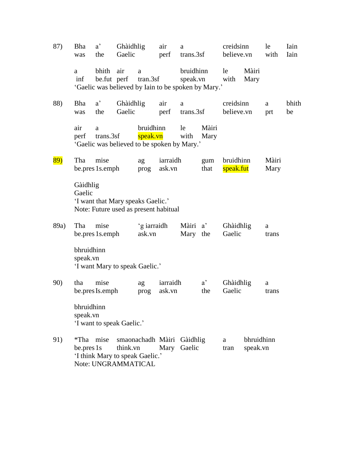| 87)  | Bha<br>was              | $a^{\prime}$<br>Ghàidhlig<br>air<br>a<br>Gaelic<br>perf<br>trans.3sf<br>the |                     |                            | creidsinn<br>believe.vn |                       | le<br>with          | Iain<br>Iain            |                        |               |             |
|------|-------------------------|-----------------------------------------------------------------------------|---------------------|----------------------------|-------------------------|-----------------------|---------------------|-------------------------|------------------------|---------------|-------------|
|      | a<br>inf                | bhith<br>be.fut perf<br>'Gaelic was believed by Iain to be spoken by Mary.' | air                 | a<br>tran.3sf              |                         | bruidhinn<br>speak.vn |                     | le<br>with              | Màiri<br>Mary          |               |             |
| 88)  | Bha<br>was              | $a^{\prime}$<br>the                                                         | Ghàidhlig<br>Gaelic |                            | air<br>perf             | a<br>trans.3sf        |                     | creidsinn<br>believe.vn |                        | a<br>prt      | bhith<br>be |
|      | air<br>perf             | a<br>trans.3sf<br>'Gaelic was believed to be spoken by Mary.'               |                     | bruidhinn<br>speak.vn      |                         | le<br>with            | Màiri<br>Mary       |                         |                        |               |             |
| 89)  | Tha                     | mise<br>be.pres 1s.emph                                                     |                     | ag<br>prog                 | iarraidh<br>ask.vn      |                       | gum<br>that         | bruidhinn<br>speak.fut  |                        | Màiri<br>Mary |             |
|      | Gàidhlig<br>Gaelic      | 'I want that Mary speaks Gaelic.'<br>Note: Future used as present habitual  |                     |                            |                         |                       |                     |                         |                        |               |             |
| 89a) | Tha                     | mise<br>be.pres 1s.emph                                                     |                     | 'g iarraidh<br>ask.vn      | Màiri a'<br>Mary the    |                       |                     | Ghàidhlig<br>Gaelic     |                        | a<br>trans    |             |
|      | bhruidhinn<br>speak.vn  | 'I want Mary to speak Gaelic.'                                              |                     |                            |                         |                       |                     |                         |                        |               |             |
| 90)  | tha                     | mise<br>be.pres Is.emph                                                     |                     | ag<br>prog                 | iarraidh<br>ask.vn      |                       | $a^{\prime}$<br>the | Ghàidhlig<br>Gaelic     |                        | a<br>trans    |             |
|      | bhruidhinn<br>speak.vn  | 'I want to speak Gaelic.'                                                   |                     |                            |                         |                       |                     |                         |                        |               |             |
| 91)  | *Tha mise<br>be.pres 1s | 'I think Mary to speak Gaelic.'<br>Note: UNGRAMMATICAL                      | think.vn            | smaonachadh Màiri Gàidhlig | Mary                    | Gaelic                |                     | a<br>tran               | bhruidhinn<br>speak.vn |               |             |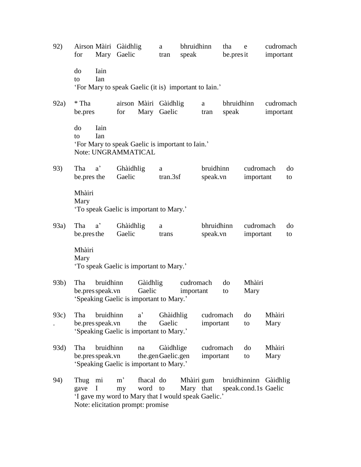| 92)  | for                | Airson Màiri<br>Mary          | Gàidhlig<br>Gaelic                                                                                   |                      | a<br>tran                      | bhruidhinn<br>speak     |                                  | tha<br>be.presit | e                      | cudromach<br>important                        |           |
|------|--------------------|-------------------------------|------------------------------------------------------------------------------------------------------|----------------------|--------------------------------|-------------------------|----------------------------------|------------------|------------------------|-----------------------------------------------|-----------|
|      | do<br>to           | Iain<br>Ian                   | 'For Mary to speak Gaelic (it is) important to Iain.'                                                |                      |                                |                         |                                  |                  |                        |                                               |           |
| 92a) | * Tha<br>be.pres   |                               | airson Màiri<br>for<br>Mary                                                                          |                      | Gàidhlig<br>Gaelic             |                         | bhruidhinn<br>a<br>speak<br>tran |                  | important              |                                               | cudromach |
|      | do<br>to           | Iain<br>Ian                   | 'For Mary to speak Gaelic is important to Iain.'<br>Note: UNGRAMMATICAL                              |                      |                                |                         |                                  |                  |                        |                                               |           |
| 93)  | Tha<br>be.pres the | $a^{\prime}$                  | Ghàidhlig<br>Gaelic                                                                                  |                      | a<br>tran.3sf                  |                         | bruidhinn<br>speak.vn            |                  | cudromach<br>important |                                               | do<br>to  |
|      | Mhàiri<br>Mary     |                               | 'To speak Gaelic is important to Mary.'                                                              |                      |                                |                         |                                  |                  |                        |                                               |           |
| 93a) | Tha<br>be.pres the | $a^{\prime}$                  | Ghàidhlig<br>Gaelic                                                                                  |                      | a<br>trans                     |                         | bhruidhinn<br>speak.vn           |                  | cudromach<br>important |                                               | do<br>to  |
|      | Mhàiri<br>Mary     |                               | 'To speak Gaelic is important to Mary.'                                                              |                      |                                |                         |                                  |                  |                        |                                               |           |
| 93b) | Tha                |                               | bruidhinn<br>Gàidhlig<br>Gaelic<br>be.pres speak.vn<br>'Speaking Gaelic is important to Mary.'       |                      | cudromach<br>important         |                         |                                  | do<br>to         | Mhàiri<br>Mary         |                                               |           |
| 93c) | Tha                | bruidhinn<br>be.pres speak.vn | 'Speaking Gaelic is important to Mary.'                                                              | $a^{\prime}$<br>the  | Ghàidhlig<br>Gaelic            |                         | cudromach<br>important           |                  | do<br>to               | Mhàiri<br>Mary                                |           |
| 93d) | Tha                | bruidhinn<br>be.pres speak.vn | 'Speaking Gaelic is important to Mary.'                                                              | na                   | Gàidhlige<br>the.genGaelic.gen |                         | cudromach<br>important           |                  | do<br>to               | Mhàiri<br>Mary                                |           |
| 94)  | Thug<br>gave       | mi<br>$\mathbf I$             | m'<br>my<br>'I gave my word to Mary that I would speak Gaelic.'<br>Note: elicitation prompt: promise | fhacal do<br>word to |                                | Mhàiri gum<br>Mary that |                                  |                  |                        | bruidhinninn Gàidhlig<br>speak.cond.1s Gaelic |           |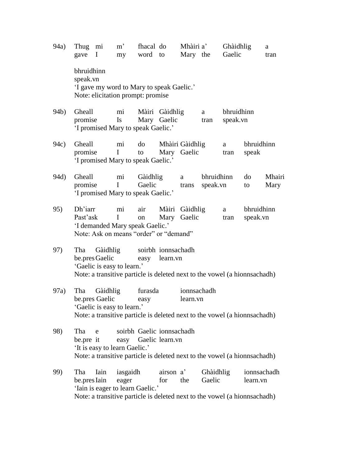| 94a) | Thug mi<br>gave I                                                                                                                                                                           | m'<br>my             | fhacal do          | word to                       | Mhàiri a'                      | Mary the               | Ghàidhlig<br>Gaelic    |                         | a<br>tran      |
|------|---------------------------------------------------------------------------------------------------------------------------------------------------------------------------------------------|----------------------|--------------------|-------------------------------|--------------------------------|------------------------|------------------------|-------------------------|----------------|
|      | bhruidhinn<br>speak.vn<br>'I gave my word to Mary to speak Gaelic.'<br>Note: elicitation prompt: promise                                                                                    |                      |                    |                               |                                |                        |                        |                         |                |
| 94b) | Gheall<br>promise<br>'I promised Mary to speak Gaelic.'                                                                                                                                     | mi<br>$\mathbf{I}$ s |                    | Màiri Gàidhlig<br>Mary Gaelic |                                | a<br>tran              | bhruidhinn<br>speak.vn |                         |                |
| 94c) | Gheall<br>promise<br>'I promised Mary to speak Gaelic.'                                                                                                                                     | mi<br>$\mathbf I$    | do<br>to           |                               | Mhàiri Gàidhlig<br>Mary Gaelic |                        | a<br>tran              | bhruidhinn<br>speak     |                |
| 94d) | Gheall<br>promise<br>'I promised Mary to speak Gaelic.'                                                                                                                                     | mi<br>$\mathbf I$    | Gàidhlig<br>Gaelic |                               | a<br>trans                     | bhruidhinn<br>speak.vn |                        | do<br>to                | Mhairi<br>Mary |
| 95)  | Dh'iarr<br>Past'ask<br>'I demanded Mary speak Gaelic.'<br>Note: Ask on means "order" or "demand"                                                                                            | mi<br>$\mathbf I$    | air<br>on          |                               | Màiri Gàidhlig<br>Mary Gaelic  |                        | a<br>tran              | bhruidhinn<br>speak.vn  |                |
| 97)  | soirbh ionnsachadh<br>Tha<br>Gàidhlig<br>be.pres Gaelic<br>easy learn.vn<br>'Gaelic is easy to learn.'<br>Note: a transitive particle is deleted next to the vowel (a hionnsachadh)         |                      |                    |                               |                                |                        |                        |                         |                |
| 97a) | Gàidhlig<br>furasda<br>ionnsachadh<br>Tha<br>be.pres Gaelic<br>easy<br>learn.vn<br>'Gaelic is easy to learn.'<br>Note: a transitive particle is deleted next to the vowel (a hionnsachadh)  |                      |                    |                               |                                |                        |                        |                         |                |
| 98)  | Tha<br>soirbh Gaelic ionnsachadh<br>e<br>Gaelic learn.vn<br>be.pre it<br>easy<br>'It is easy to learn Gaelic.'<br>Note: a transitive particle is deleted next to the vowel (a hionnsachadh) |                      |                    |                               |                                |                        |                        |                         |                |
| 99)  | Tha<br>Iain<br>be.pres Iain<br>'Iain is eager to learn Gaelic.'<br>Note: a transitive particle is deleted next to the vowel (a hionnsachadh)                                                | iasgaidh<br>eager    |                    | airson a'<br>for              | the                            | Ghàidhlig<br>Gaelic    |                        | ionnsachadh<br>learn.vn |                |